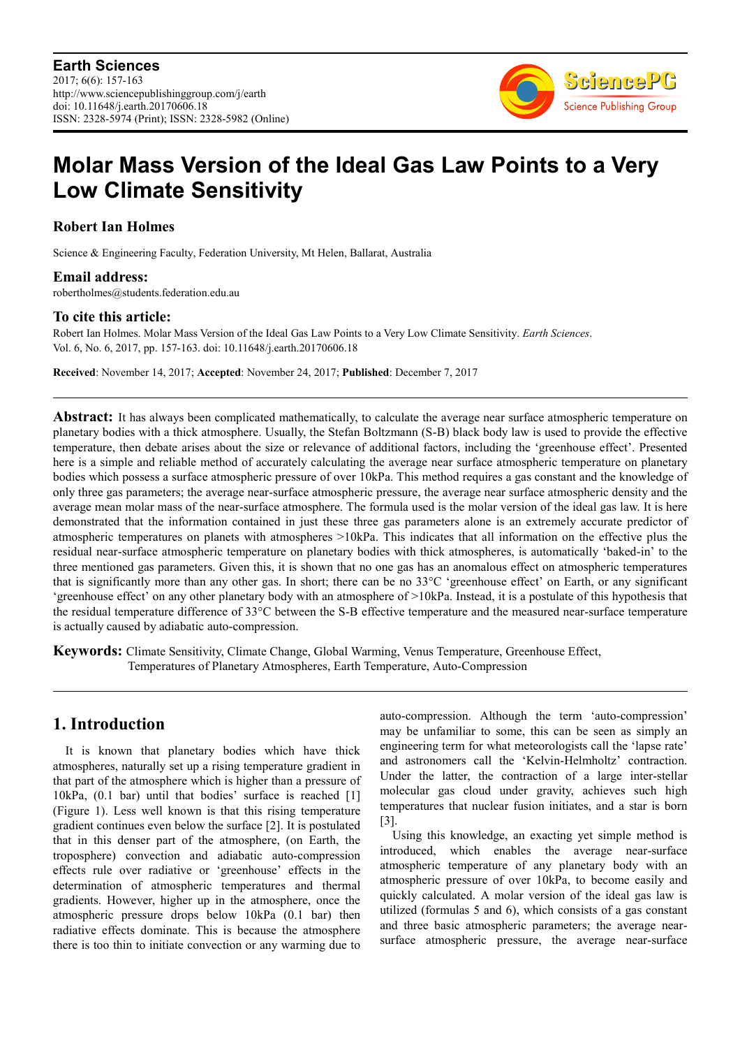

# **Molar Mass Version of the Ideal Gas Law Points to a Very Low Climate Sensitivity**

**Robert Ian Holmes** 

Science & Engineering Faculty, Federation University, Mt Helen, Ballarat, Australia

### **Email address:**

robertholmes@students.federation.edu.au

# **To cite this article:**

Robert Ian Holmes. Molar Mass Version of the Ideal Gas Law Points to a Very Low Climate Sensitivity. *Earth Sciences*. Vol. 6, No. 6, 2017, pp. 157-163. doi: 10.11648/j.earth.20170606.18

**Received**: November 14, 2017; **Accepted**: November 24, 2017; **Published**: December 7, 2017

**Abstract:** It has always been complicated mathematically, to calculate the average near surface atmospheric temperature on planetary bodies with a thick atmosphere. Usually, the Stefan Boltzmann (S-B) black body law is used to provide the effective temperature, then debate arises about the size or relevance of additional factors, including the 'greenhouse effect'. Presented here is a simple and reliable method of accurately calculating the average near surface atmospheric temperature on planetary bodies which possess a surface atmospheric pressure of over 10kPa. This method requires a gas constant and the knowledge of only three gas parameters; the average near-surface atmospheric pressure, the average near surface atmospheric density and the average mean molar mass of the near-surface atmosphere. The formula used is the molar version of the ideal gas law. It is here demonstrated that the information contained in just these three gas parameters alone is an extremely accurate predictor of atmospheric temperatures on planets with atmospheres >10kPa. This indicates that all information on the effective plus the residual near-surface atmospheric temperature on planetary bodies with thick atmospheres, is automatically 'baked-in' to the three mentioned gas parameters. Given this, it is shown that no one gas has an anomalous effect on atmospheric temperatures that is significantly more than any other gas. In short; there can be no 33°C 'greenhouse effect' on Earth, or any significant 'greenhouse effect' on any other planetary body with an atmosphere of >10kPa. Instead, it is a postulate of this hypothesis that the residual temperature difference of 33°C between the S-B effective temperature and the measured near-surface temperature is actually caused by adiabatic auto-compression.

**Keywords:** Climate Sensitivity, Climate Change, Global Warming, Venus Temperature, Greenhouse Effect, Temperatures of Planetary Atmospheres, Earth Temperature, Auto-Compression

# **1. Introduction**

It is known that planetary bodies which have thick atmospheres, naturally set up a rising temperature gradient in that part of the atmosphere which is higher than a pressure of 10kPa, (0.1 bar) until that bodies' surface is reached [1] (Figure 1). Less well known is that this rising temperature gradient continues even below the surface [2]. It is postulated that in this denser part of the atmosphere, (on Earth, the troposphere) convection and adiabatic auto-compression effects rule over radiative or 'greenhouse' effects in the determination of atmospheric temperatures and thermal gradients. However, higher up in the atmosphere, once the atmospheric pressure drops below 10kPa (0.1 bar) then radiative effects dominate. This is because the atmosphere there is too thin to initiate convection or any warming due to auto-compression. Although the term 'auto-compression' may be unfamiliar to some, this can be seen as simply an engineering term for what meteorologists call the 'lapse rate' and astronomers call the 'Kelvin-Helmholtz' contraction. Under the latter, the contraction of a large inter-stellar molecular gas cloud under gravity, achieves such high temperatures that nuclear fusion initiates, and a star is born [3].

Using this knowledge, an exacting yet simple method is introduced, which enables the average near-surface atmospheric temperature of any planetary body with an atmospheric pressure of over 10kPa, to become easily and quickly calculated. A molar version of the ideal gas law is utilized (formulas 5 and 6), which consists of a gas constant and three basic atmospheric parameters; the average nearsurface atmospheric pressure, the average near-surface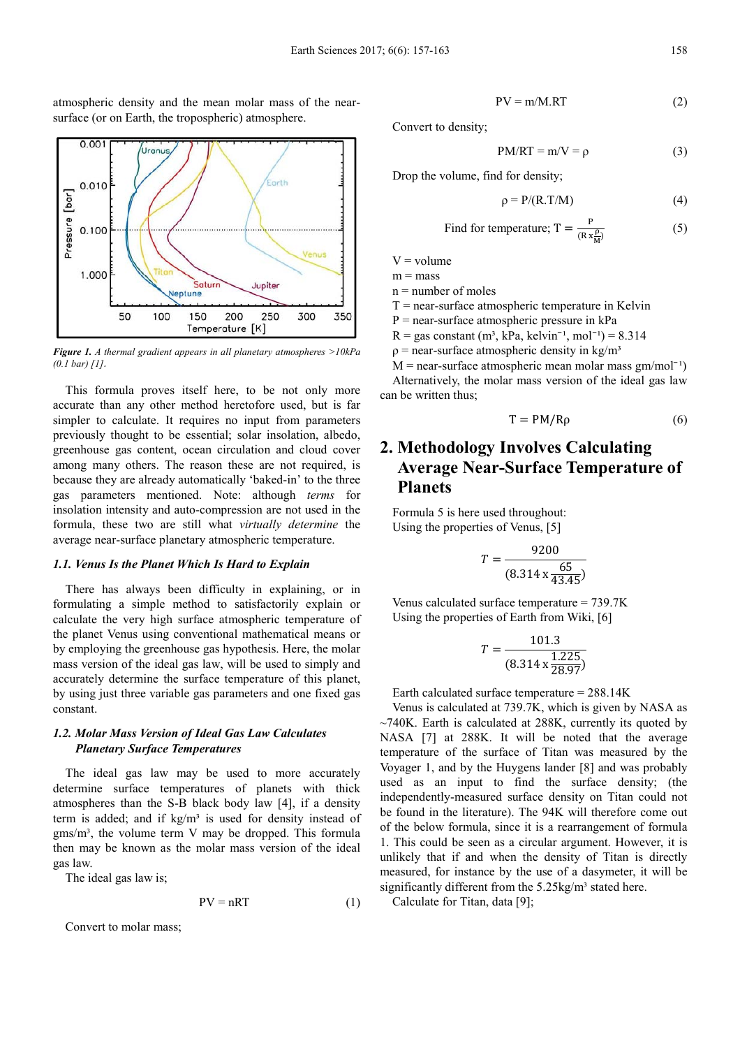atmospheric density and the mean molar mass of the nearsurface (or on Earth, the tropospheric) atmosphere.



*Figure 1. A thermal gradient appears in all planetary atmospheres >10kPa (0.1 bar) [1]*.

This formula proves itself here, to be not only more accurate than any other method heretofore used, but is far simpler to calculate. It requires no input from parameters previously thought to be essential; solar insolation, albedo, greenhouse gas content, ocean circulation and cloud cover among many others. The reason these are not required, is because they are already automatically 'baked-in' to the three gas parameters mentioned. Note: although *terms* for insolation intensity and auto-compression are not used in the formula, these two are still what *virtually determine* the average near-surface planetary atmospheric temperature.

#### *1.1. Venus Is the Planet Which Is Hard to Explain*

There has always been difficulty in explaining, or in formulating a simple method to satisfactorily explain or calculate the very high surface atmospheric temperature of the planet Venus using conventional mathematical means or by employing the greenhouse gas hypothesis. Here, the molar mass version of the ideal gas law, will be used to simply and accurately determine the surface temperature of this planet, by using just three variable gas parameters and one fixed gas constant.

#### *1.2. Molar Mass Version of Ideal Gas Law Calculates Planetary Surface Temperatures*

The ideal gas law may be used to more accurately determine surface temperatures of planets with thick atmospheres than the S-B black body law [4], if a density term is added; and if kg/m<sup>3</sup> is used for density instead of  $g$ ms/m<sup>3</sup>, the volume term V may be dropped. This formula then may be known as the molar mass version of the ideal gas law.

The ideal gas law is;

$$
PV = nRT
$$
 (1)

Convert to molar mass;

$$
PV = m/M.RT
$$
 (2)

Convert to density;

$$
PM/RT = m/V = \rho \tag{3}
$$

Drop the volume, find for density;

$$
\rho = P/(R.T/M) \tag{4}
$$

Find for temperature; 
$$
T = \frac{P}{(R x \frac{P}{M})}
$$
 (5)

 $V =$  volume

 $m = mass$ 

 $n =$  number of moles

 $T =$  near-surface atmospheric temperature in Kelvin

 $P = near-surface$  atmospheric pressure in  $kPa$ 

 $R = gas constant (m<sup>3</sup>, kPa, kelvin<sup>-1</sup>, mol<sup>-1</sup>) = 8.314$ 

 $p =$  near-surface atmospheric density in kg/m<sup>3</sup>

 $M =$  near-surface atmospheric mean molar mass  $gm/mol^{-1}$ ) Alternatively, the molar mass version of the ideal gas law can be written thus;

$$
T = PM/R\rho \tag{6}
$$

# **2. Methodology Involves Calculating Average Near-Surface Temperature of Planets**

Formula 5 is here used throughout: Using the properties of Venus, [5]

$$
T = \frac{9200}{(8.314 \times \frac{65}{43.45})}
$$

Venus calculated surface temperature = 739.7K Using the properties of Earth from Wiki, [6]

$$
T = \frac{101.3}{(8.314 \times \frac{1.225}{28.97})}
$$

Earth calculated surface temperature = 288.14K

Venus is calculated at 739.7K, which is given by NASA as  $\sim$ 740K. Earth is calculated at 288K, currently its quoted by NASA [7] at 288K. It will be noted that the average temperature of the surface of Titan was measured by the Voyager 1, and by the Huygens lander [8] and was probably used as an input to find the surface density; (the independently-measured surface density on Titan could not be found in the literature). The 94K will therefore come out of the below formula, since it is a rearrangement of formula 1. This could be seen as a circular argument. However, it is unlikely that if and when the density of Titan is directly measured, for instance by the use of a dasymeter, it will be significantly different from the 5.25kg/m<sup>3</sup> stated here.

Calculate for Titan, data [9];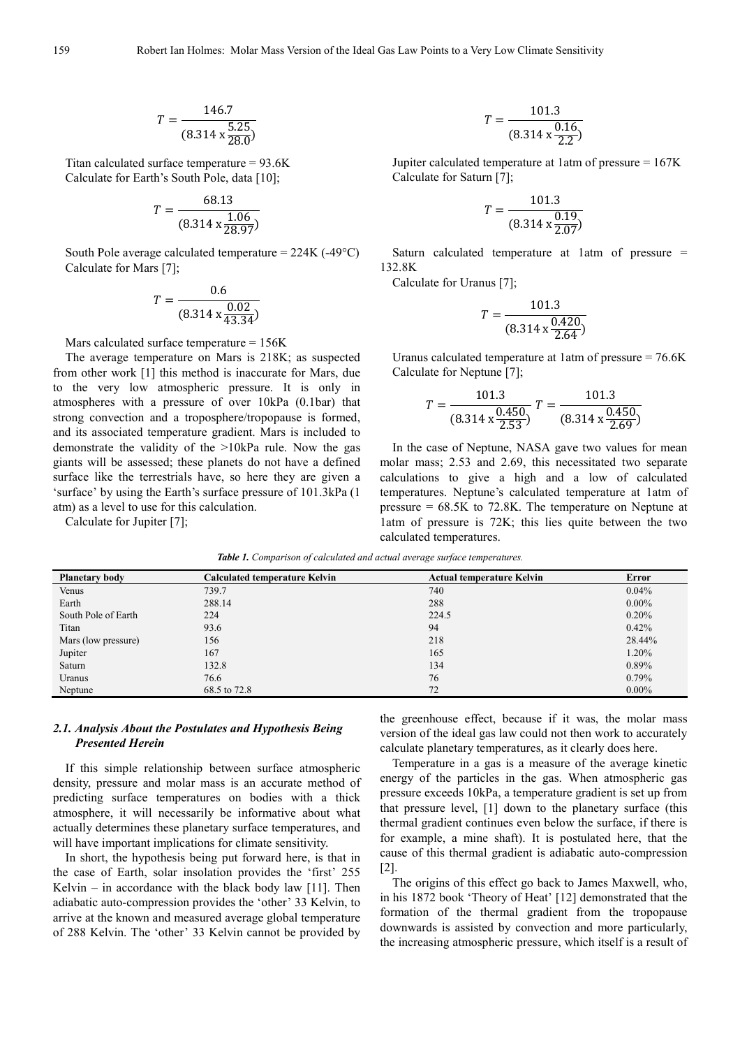$$
T = \frac{146.7}{(8.314 \times \frac{5.25}{28.0})}
$$

Titan calculated surface temperature = 93.6K Calculate for Earth's South Pole, data [10];

$$
T = \frac{68.13}{(8.314 \times \frac{1.06}{28.97})}
$$

South Pole average calculated temperature =  $224K$  (-49 $^{\circ}$ C) Calculate for Mars [7];

$$
T = \frac{0.6}{(8.314 \times \frac{0.02}{43.34})}
$$

Mars calculated surface temperature = 156K

The average temperature on Mars is 218K; as suspected from other work [1] this method is inaccurate for Mars, due to the very low atmospheric pressure. It is only in atmospheres with a pressure of over 10kPa (0.1bar) that strong convection and a troposphere/tropopause is formed, and its associated temperature gradient. Mars is included to demonstrate the validity of the >10kPa rule. Now the gas giants will be assessed; these planets do not have a defined surface like the terrestrials have, so here they are given a 'surface' by using the Earth's surface pressure of 101.3kPa (1 atm) as a level to use for this calculation.

Calculate for Jupiter [7];

$$
T = \frac{101.3}{(8.314 \times \frac{0.16}{2.2})}
$$

Jupiter calculated temperature at 1atm of pressure = 167K Calculate for Saturn [7];

$$
T = \frac{101.3}{(8.314 \times \frac{0.19}{2.07})}
$$

Saturn calculated temperature at 1atm of pressure = 132.8K

Calculate for Uranus [7];

$$
T = \frac{101.3}{(8.314 \times \frac{0.420}{2.64})}
$$

Uranus calculated temperature at 1atm of pressure = 76.6K Calculate for Neptune [7];

$$
T = \frac{101.3}{(8.314 \times \frac{0.450}{2.53})} T = \frac{101.3}{(8.314 \times \frac{0.450}{2.69})}
$$

In the case of Neptune, NASA gave two values for mean molar mass; 2.53 and 2.69, this necessitated two separate calculations to give a high and a low of calculated temperatures. Neptune's calculated temperature at 1atm of pressure = 68.5K to 72.8K. The temperature on Neptune at 1atm of pressure is 72K; this lies quite between the two calculated temperatures.

*Table 1. Comparison of calculated and actual average surface temperatures.* 

| <b>Planetary body</b> | <b>Calculated temperature Kelvin</b> | <b>Actual temperature Kelvin</b> | Error    |
|-----------------------|--------------------------------------|----------------------------------|----------|
| Venus                 | 739.7                                | 740                              | 0.04%    |
| Earth                 | 288.14                               | 288                              | $0.00\%$ |
| South Pole of Earth   | 224                                  | 224.5                            | 0.20%    |
| Titan                 | 93.6                                 | 94                               | $0.42\%$ |
| Mars (low pressure)   | 156                                  | 218                              | 28.44%   |
| Jupiter               | 167                                  | 165                              | 1.20%    |
| Saturn                | 132.8                                | 134                              | $0.89\%$ |
| Uranus                | 76.6                                 | 76                               | 0.79%    |
| Neptune               | 68.5 to 72.8                         | 72                               | $0.00\%$ |

#### *2.1. Analysis About the Postulates and Hypothesis Being Presented Herein*

If this simple relationship between surface atmospheric density, pressure and molar mass is an accurate method of predicting surface temperatures on bodies with a thick atmosphere, it will necessarily be informative about what actually determines these planetary surface temperatures, and will have important implications for climate sensitivity.

In short, the hypothesis being put forward here, is that in the case of Earth, solar insolation provides the 'first' 255 Kelvin – in accordance with the black body law [11]. Then adiabatic auto-compression provides the 'other' 33 Kelvin, to arrive at the known and measured average global temperature of 288 Kelvin. The 'other' 33 Kelvin cannot be provided by the greenhouse effect, because if it was, the molar mass version of the ideal gas law could not then work to accurately calculate planetary temperatures, as it clearly does here.

Temperature in a gas is a measure of the average kinetic energy of the particles in the gas. When atmospheric gas pressure exceeds 10kPa, a temperature gradient is set up from that pressure level, [1] down to the planetary surface (this thermal gradient continues even below the surface, if there is for example, a mine shaft). It is postulated here, that the cause of this thermal gradient is adiabatic auto-compression [2].

The origins of this effect go back to James Maxwell, who, in his 1872 book 'Theory of Heat' [12] demonstrated that the formation of the thermal gradient from the tropopause downwards is assisted by convection and more particularly, the increasing atmospheric pressure, which itself is a result of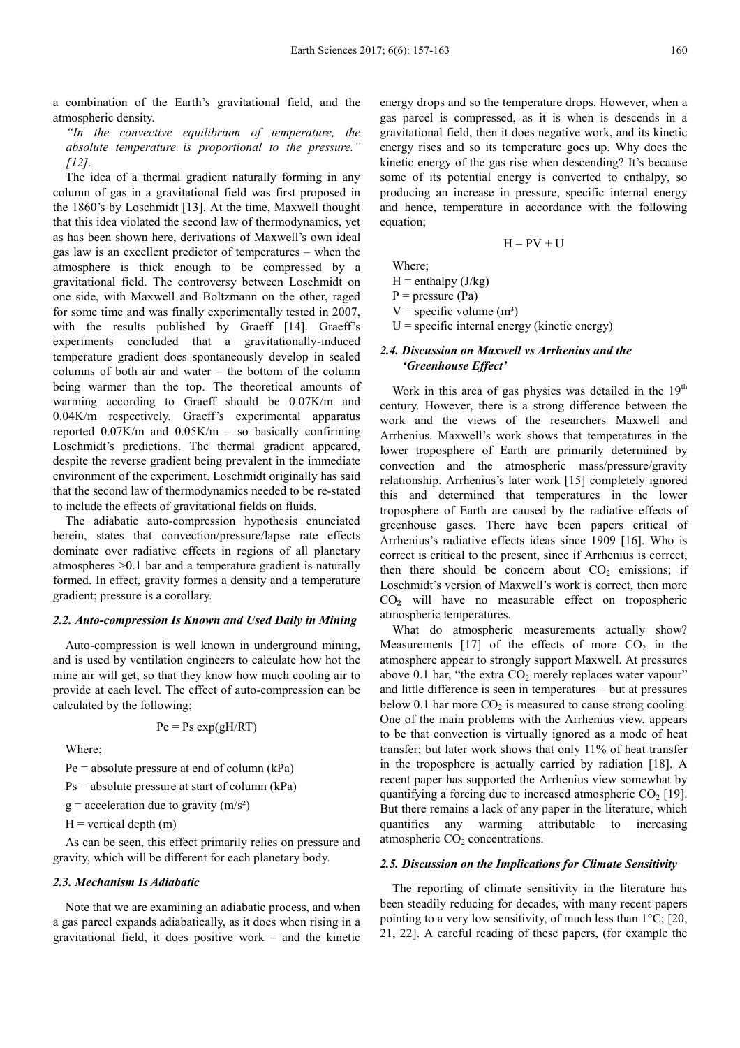a combination of the Earth's gravitational field, and the atmospheric density.

*"In the convective equilibrium of temperature, the absolute temperature is proportional to the pressure." [12].* 

The idea of a thermal gradient naturally forming in any column of gas in a gravitational field was first proposed in the 1860's by Loschmidt [13]. At the time, Maxwell thought that this idea violated the second law of thermodynamics, yet as has been shown here, derivations of Maxwell's own ideal gas law is an excellent predictor of temperatures – when the atmosphere is thick enough to be compressed by a gravitational field. The controversy between Loschmidt on one side, with Maxwell and Boltzmann on the other, raged for some time and was finally experimentally tested in 2007, with the results published by Graeff [14]. Graeff's experiments concluded that a gravitationally-induced temperature gradient does spontaneously develop in sealed columns of both air and water – the bottom of the column being warmer than the top. The theoretical amounts of warming according to Graeff should be 0.07K/m and 0.04K/m respectively. Graeff's experimental apparatus reported  $0.07$ K/m and  $0.05$ K/m – so basically confirming Loschmidt's predictions. The thermal gradient appeared, despite the reverse gradient being prevalent in the immediate environment of the experiment. Loschmidt originally has said that the second law of thermodynamics needed to be re-stated to include the effects of gravitational fields on fluids.

The adiabatic auto-compression hypothesis enunciated herein, states that convection/pressure/lapse rate effects dominate over radiative effects in regions of all planetary atmospheres >0.1 bar and a temperature gradient is naturally formed. In effect, gravity formes a density and a temperature gradient; pressure is a corollary.

#### *2.2. Auto-compression Is Known and Used Daily in Mining*

Auto-compression is well known in underground mining, and is used by ventilation engineers to calculate how hot the mine air will get, so that they know how much cooling air to provide at each level. The effect of auto-compression can be calculated by the following;

$$
Pe = Ps \exp(gH/RT)
$$

Where;

 $Pe = absolute pressure at end of column (kPa)$ 

 $Ps = absolute pressure at start of column (kPa)$ 

 $g =$  acceleration due to gravity (m/s<sup>2</sup>)

 $H =$  vertical depth  $(m)$ 

As can be seen, this effect primarily relies on pressure and gravity, which will be different for each planetary body.

#### *2.3. Mechanism Is Adiabatic*

Note that we are examining an adiabatic process, and when a gas parcel expands adiabatically, as it does when rising in a gravitational field, it does positive work – and the kinetic energy drops and so the temperature drops. However, when a gas parcel is compressed, as it is when is descends in a gravitational field, then it does negative work, and its kinetic energy rises and so its temperature goes up. Why does the kinetic energy of the gas rise when descending? It's because some of its potential energy is converted to enthalpy, so producing an increase in pressure, specific internal energy and hence, temperature in accordance with the following equation;

 $H = PV + U$ 

Where;

 $H =$  enthalpy  $(J/kg)$ 

 $P = pressure (Pa)$ 

 $V =$  specific volume  $(m<sup>3</sup>)$ 

 $U =$  specific internal energy (kinetic energy)

#### *2.4. Discussion on Maxwell vs Arrhenius and the 'Greenhouse Effect'*

Work in this area of gas physics was detailed in the  $19<sup>th</sup>$ century. However, there is a strong difference between the work and the views of the researchers Maxwell and Arrhenius. Maxwell's work shows that temperatures in the lower troposphere of Earth are primarily determined by convection and the atmospheric mass/pressure/gravity relationship. Arrhenius's later work [15] completely ignored this and determined that temperatures in the lower troposphere of Earth are caused by the radiative effects of greenhouse gases. There have been papers critical of Arrhenius's radiative effects ideas since 1909 [16]. Who is correct is critical to the present, since if Arrhenius is correct, then there should be concern about  $CO<sub>2</sub>$  emissions; if Loschmidt's version of Maxwell's work is correct, then more  $CO<sub>2</sub>$  will have no measurable effect on tropospheric atmospheric temperatures.

What do atmospheric measurements actually show? Measurements [17] of the effects of more  $CO<sub>2</sub>$  in the atmosphere appear to strongly support Maxwell. At pressures above 0.1 bar, "the extra  $CO<sub>2</sub>$  merely replaces water vapour" and little difference is seen in temperatures – but at pressures below 0.1 bar more  $CO<sub>2</sub>$  is measured to cause strong cooling. One of the main problems with the Arrhenius view, appears to be that convection is virtually ignored as a mode of heat transfer; but later work shows that only 11% of heat transfer in the troposphere is actually carried by radiation [18]. A recent paper has supported the Arrhenius view somewhat by quantifying a forcing due to increased atmospheric  $CO<sub>2</sub>$  [19]. But there remains a lack of any paper in the literature, which quantifies any warming attributable to increasing atmospheric  $CO<sub>2</sub>$  concentrations.

#### *2.5. Discussion on the Implications for Climate Sensitivity*

The reporting of climate sensitivity in the literature has been steadily reducing for decades, with many recent papers pointing to a very low sensitivity, of much less than 1°C; [20, 21, 22]. A careful reading of these papers, (for example the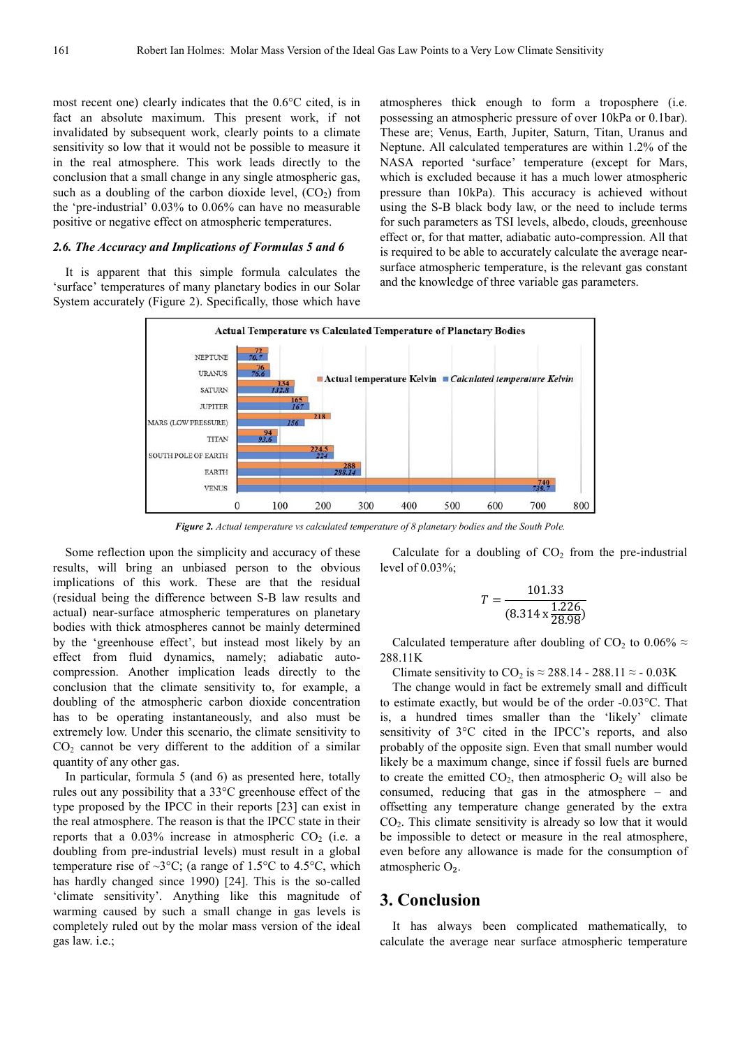most recent one) clearly indicates that the 0.6°C cited, is in fact an absolute maximum. This present work, if not invalidated by subsequent work, clearly points to a climate sensitivity so low that it would not be possible to measure it in the real atmosphere. This work leads directly to the conclusion that a small change in any single atmospheric gas, such as a doubling of the carbon dioxide level,  $(CO<sub>2</sub>)$  from the 'pre-industrial' 0.03% to 0.06% can have no measurable positive or negative effect on atmospheric temperatures.

#### *2.6. The Accuracy and Implications of Formulas 5 and 6*

It is apparent that this simple formula calculates the 'surface' temperatures of many planetary bodies in our Solar System accurately (Figure 2). Specifically, those which have atmospheres thick enough to form a troposphere (i.e. possessing an atmospheric pressure of over 10kPa or 0.1bar). These are; Venus, Earth, Jupiter, Saturn, Titan, Uranus and Neptune. All calculated temperatures are within 1.2% of the NASA reported 'surface' temperature (except for Mars, which is excluded because it has a much lower atmospheric pressure than 10kPa). This accuracy is achieved without using the S-B black body law, or the need to include terms for such parameters as TSI levels, albedo, clouds, greenhouse effect or, for that matter, adiabatic auto-compression. All that is required to be able to accurately calculate the average nearsurface atmospheric temperature, is the relevant gas constant and the knowledge of three variable gas parameters.



*Figure 2. Actual temperature vs calculated temperature of 8 planetary bodies and the South Pole.* 

Some reflection upon the simplicity and accuracy of these results, will bring an unbiased person to the obvious implications of this work. These are that the residual (residual being the difference between S-B law results and actual) near-surface atmospheric temperatures on planetary bodies with thick atmospheres cannot be mainly determined by the 'greenhouse effect', but instead most likely by an effect from fluid dynamics, namely; adiabatic autocompression. Another implication leads directly to the conclusion that the climate sensitivity to, for example, a doubling of the atmospheric carbon dioxide concentration has to be operating instantaneously, and also must be extremely low. Under this scenario, the climate sensitivity to  $CO<sub>2</sub>$  cannot be very different to the addition of a similar quantity of any other gas.

In particular, formula 5 (and 6) as presented here, totally rules out any possibility that a 33°C greenhouse effect of the type proposed by the IPCC in their reports [23] can exist in the real atmosphere. The reason is that the IPCC state in their reports that a  $0.03\%$  increase in atmospheric CO<sub>2</sub> (i.e. a doubling from pre-industrial levels) must result in a global temperature rise of  $\sim 3^{\circ}$ C; (a range of 1.5°C to 4.5°C, which has hardly changed since 1990) [24]. This is the so-called 'climate sensitivity'. Anything like this magnitude of warming caused by such a small change in gas levels is completely ruled out by the molar mass version of the ideal gas law. i.e.;

Calculate for a doubling of  $CO<sub>2</sub>$  from the pre-industrial level of  $0.03\%$ ;

$$
T = \frac{101.33}{(8.314 \times \frac{1.226}{28.98})}
$$

Calculated temperature after doubling of CO<sub>2</sub> to 0.06%  $\approx$ 288.11K

Climate sensitivity to  $CO_2$  is  $\approx 288.14 - 288.11 \approx -0.03$ K

The change would in fact be extremely small and difficult to estimate exactly, but would be of the order -0.03°C. That is, a hundred times smaller than the 'likely' climate sensitivity of 3<sup>o</sup>C cited in the IPCC's reports, and also probably of the opposite sign. Even that small number would likely be a maximum change, since if fossil fuels are burned to create the emitted  $CO<sub>2</sub>$ , then atmospheric  $O<sub>2</sub>$  will also be consumed, reducing that gas in the atmosphere – and offsetting any temperature change generated by the extra CO2. This climate sensitivity is already so low that it would be impossible to detect or measure in the real atmosphere, even before any allowance is made for the consumption of atmospheric O₂.

## **3. Conclusion**

It has always been complicated mathematically, to calculate the average near surface atmospheric temperature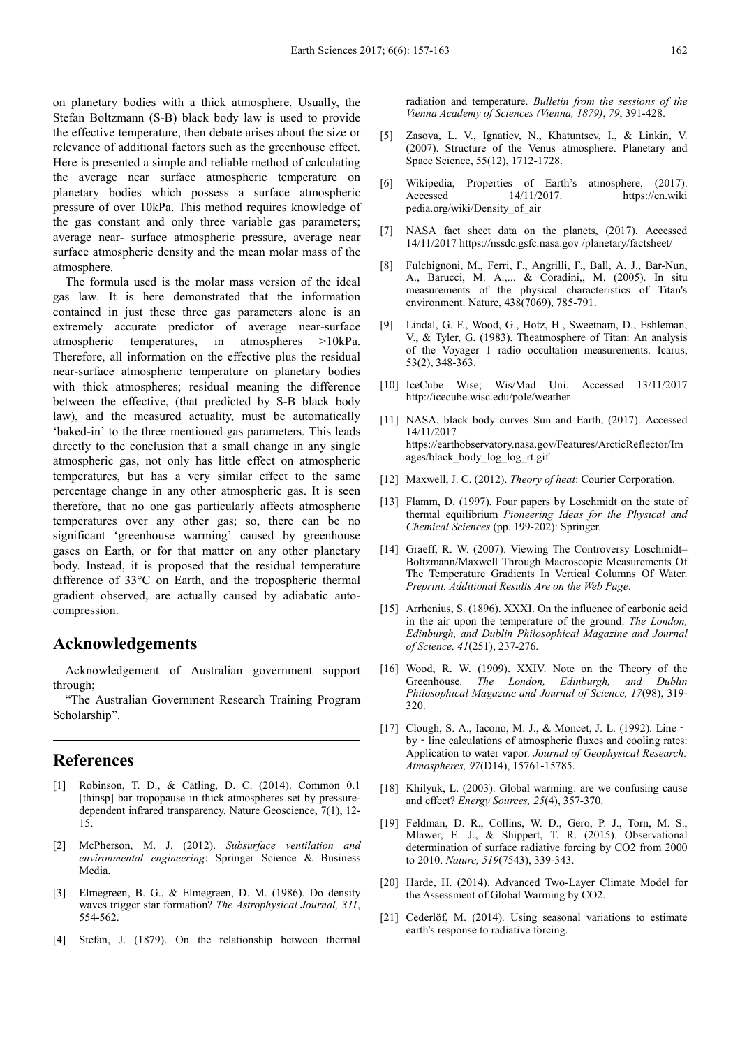on planetary bodies with a thick atmosphere. Usually, the Stefan Boltzmann (S-B) black body law is used to provide the effective temperature, then debate arises about the size or relevance of additional factors such as the greenhouse effect. Here is presented a simple and reliable method of calculating the average near surface atmospheric temperature on planetary bodies which possess a surface atmospheric pressure of over 10kPa. This method requires knowledge of the gas constant and only three variable gas parameters; average near- surface atmospheric pressure, average near surface atmospheric density and the mean molar mass of the atmosphere.

The formula used is the molar mass version of the ideal gas law. It is here demonstrated that the information contained in just these three gas parameters alone is an extremely accurate predictor of average near-surface atmospheric temperatures, in atmospheres >10kPa. Therefore, all information on the effective plus the residual near-surface atmospheric temperature on planetary bodies with thick atmospheres; residual meaning the difference between the effective, (that predicted by S-B black body law), and the measured actuality, must be automatically 'baked-in' to the three mentioned gas parameters. This leads directly to the conclusion that a small change in any single atmospheric gas, not only has little effect on atmospheric temperatures, but has a very similar effect to the same percentage change in any other atmospheric gas. It is seen therefore, that no one gas particularly affects atmospheric temperatures over any other gas; so, there can be no significant 'greenhouse warming' caused by greenhouse gases on Earth, or for that matter on any other planetary body. Instead, it is proposed that the residual temperature difference of 33°C on Earth, and the tropospheric thermal gradient observed, are actually caused by adiabatic autocompression.

## **Acknowledgements**

Acknowledgement of Australian government support through;

"The Australian Government Research Training Program Scholarship".

# **References**

- [1] Robinson, T. D., & Catling, D. C. (2014). Common 0.1 [thinsp] bar tropopause in thick atmospheres set by pressuredependent infrared transparency. Nature Geoscience, 7(1), 12- 15.
- [2] McPherson, M. J. (2012). *Subsurface ventilation and environmental engineering*: Springer Science & Business Media.
- [3] Elmegreen, B. G., & Elmegreen, D. M. (1986). Do density waves trigger star formation? *The Astrophysical Journal, 311*, 554-562.
- [4] Stefan, J. (1879). On the relationship between thermal

radiation and temperature. *Bulletin from the sessions of the Vienna Academy of Sciences (Vienna, 1879)*, *79*, 391-428.

- [5] Zasova, L. V., Ignatiev, N., Khatuntsev, I., & Linkin, V. (2007). Structure of the Venus atmosphere. Planetary and Space Science, 55(12), 1712-1728.
- [6] Wikipedia, Properties of Earth's atmosphere, (2017). Accessed 14/11/2017. https://en.wiki pedia.org/wiki/Density\_of\_air
- [7] NASA fact sheet data on the planets, (2017). Accessed 14/11/2017 https://nssdc.gsfc.nasa.gov /planetary/factsheet/
- [8] Fulchignoni, M., Ferri, F., Angrilli, F., Ball, A. J., Bar-Nun, A., Barucci, M. A.,... & Coradini,, M. (2005). In situ measurements of the physical characteristics of Titan's environment. Nature, 438(7069), 785-791.
- [9] Lindal, G. F., Wood, G., Hotz, H., Sweetnam, D., Eshleman, V., & Tyler, G. (1983). Theatmosphere of Titan: An analysis of the Voyager 1 radio occultation measurements. Icarus, 53(2), 348-363.
- [10] IceCube Wise; Wis/Mad Uni. Accessed 13/11/2017 http://icecube.wisc.edu/pole/weather
- [11] NASA, black body curves Sun and Earth, (2017). Accessed 14/11/2017 https://earthobservatory.nasa.gov/Features/ArcticReflector/Im ages/black\_body\_log\_log\_rt.gif
- [12] Maxwell, J. C. (2012). *Theory of heat*: Courier Corporation.
- [13] Flamm, D. (1997). Four papers by Loschmidt on the state of thermal equilibrium *Pioneering Ideas for the Physical and Chemical Sciences* (pp. 199-202): Springer.
- [14] Graeff, R. W. (2007). Viewing The Controversy Loschmidt-Boltzmann/Maxwell Through Macroscopic Measurements Of The Temperature Gradients In Vertical Columns Of Water. *Preprint. Additional Results Are on the Web Page*.
- [15] Arrhenius, S. (1896). XXXI. On the influence of carbonic acid in the air upon the temperature of the ground. *The London, Edinburgh, and Dublin Philosophical Magazine and Journal of Science, 41*(251), 237-276.
- [16] Wood, R. W. (1909). XXIV. Note on the Theory of the Greenhouse. *The London, Edinburgh, and Dublin Philosophical Magazine and Journal of Science, 17*(98), 319- 320.
- [17] Clough, S. A., Iacono, M. J., & Moncet, J. L. (1992). Line by - line calculations of atmospheric fluxes and cooling rates: Application to water vapor. *Journal of Geophysical Research: Atmospheres, 97*(D14), 15761-15785.
- [18] Khilyuk, L. (2003). Global warming: are we confusing cause and effect? *Energy Sources, 25*(4), 357-370.
- [19] Feldman, D. R., Collins, W. D., Gero, P. J., Torn, M. S., Mlawer, E. J., & Shippert, T. R. (2015). Observational determination of surface radiative forcing by CO2 from 2000 to 2010. *Nature, 519*(7543), 339-343.
- [20] Harde, H. (2014). Advanced Two-Layer Climate Model for the Assessment of Global Warming by CO2.
- [21] Cederlöf, M. (2014). Using seasonal variations to estimate earth's response to radiative forcing.